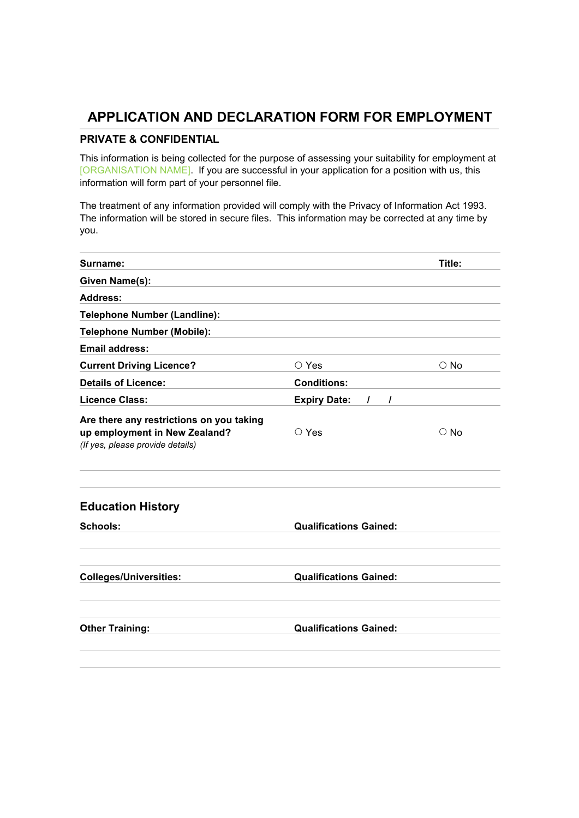## **APPLICATION AND DECLARATION FORM FOR EMPLOYMENT**

#### **PRIVATE & CONFIDENTIAL**

This information is being collected for the purpose of assessing your suitability for employment at [ORGANISATION NAME]. If you are successful in your application for a position with us, this information will form part of your personnel file.

The treatment of any information provided will comply with the Privacy of Information Act 1993. The information will be stored in secure files. This information may be corrected at any time by you.

| Surname:                                                                                                      |                                                  | Title:        |  |
|---------------------------------------------------------------------------------------------------------------|--------------------------------------------------|---------------|--|
| Given Name(s):                                                                                                |                                                  |               |  |
| <b>Address:</b>                                                                                               |                                                  |               |  |
| <b>Telephone Number (Landline):</b>                                                                           |                                                  |               |  |
| <b>Telephone Number (Mobile):</b>                                                                             |                                                  |               |  |
| <b>Email address:</b>                                                                                         |                                                  |               |  |
| <b>Current Driving Licence?</b>                                                                               | ○ Yes                                            | $\bigcirc$ No |  |
| <b>Details of Licence:</b>                                                                                    | <b>Conditions:</b>                               |               |  |
| <b>Licence Class:</b>                                                                                         | <b>Expiry Date:</b><br>$\prime$<br>$\mathcal{L}$ |               |  |
| Are there any restrictions on you taking<br>up employment in New Zealand?<br>(If yes, please provide details) | $\circ$ Yes                                      | $\circ$ No    |  |
| <b>Education History</b>                                                                                      |                                                  |               |  |
| <b>Schools:</b>                                                                                               | <b>Qualifications Gained:</b>                    |               |  |
| <b>Colleges/Universities:</b>                                                                                 | <b>Qualifications Gained:</b>                    |               |  |
| <b>Other Training:</b>                                                                                        | <b>Qualifications Gained:</b>                    |               |  |
|                                                                                                               |                                                  |               |  |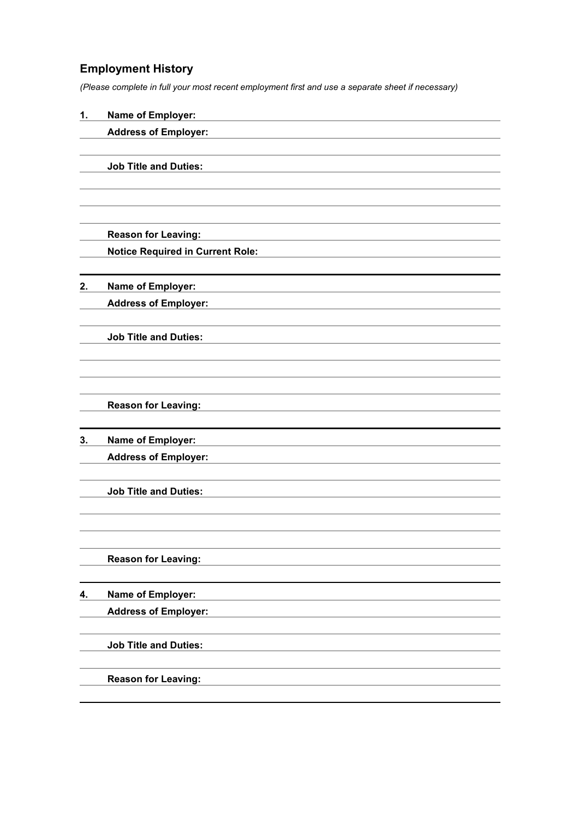## **Employment History**

*(Please complete in full your most recent employment first and use a separate sheet if necessary)*

| 1. | Name of Employer:                       |
|----|-----------------------------------------|
|    | <b>Address of Employer:</b>             |
|    |                                         |
|    | <b>Job Title and Duties:</b>            |
|    |                                         |
|    |                                         |
|    |                                         |
|    | <b>Reason for Leaving:</b>              |
|    | <b>Notice Required in Current Role:</b> |
|    |                                         |
| 2. | <b>Name of Employer:</b>                |
|    | <b>Address of Employer:</b>             |
|    |                                         |
|    | <b>Job Title and Duties:</b>            |
|    |                                         |
|    |                                         |
|    |                                         |
|    | <b>Reason for Leaving:</b>              |
|    |                                         |
| 3. | Name of Employer:                       |
|    | <b>Address of Employer:</b>             |
|    |                                         |
|    | <b>Job Title and Duties:</b>            |
|    |                                         |
|    |                                         |
|    |                                         |
|    | <b>Reason for Leaving:</b>              |
|    |                                         |
| 4. | Name of Employer:                       |
|    | <b>Address of Employer:</b>             |
|    |                                         |
|    | <b>Job Title and Duties:</b>            |
|    |                                         |
|    | <b>Reason for Leaving:</b>              |
|    |                                         |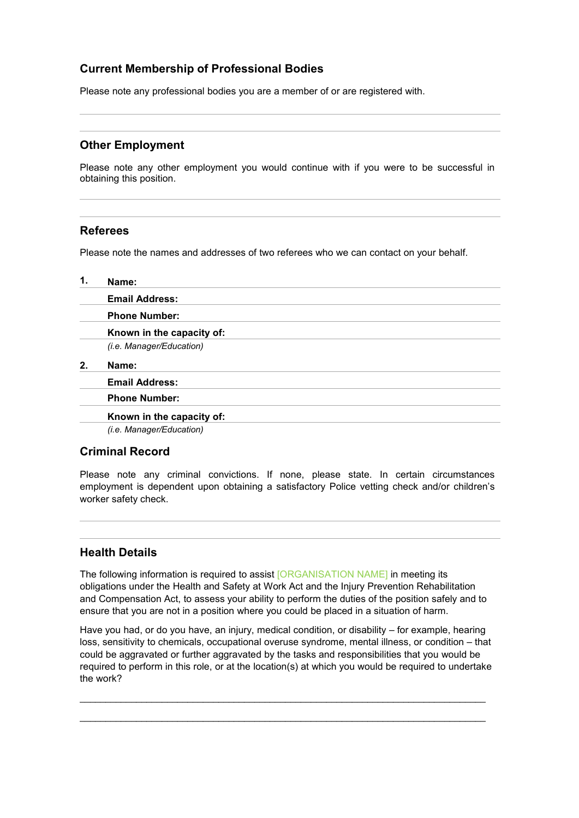### **Current Membership of Professional Bodies**

Please note any professional bodies you are a member of or are registered with.

#### **Other Employment**

Please note any other employment you would continue with if you were to be successful in obtaining this position.

#### **Referees**

Please note the names and addresses of two referees who we can contact on your behalf.

| 1. | Name:                     |
|----|---------------------------|
|    | <b>Email Address:</b>     |
|    | <b>Phone Number:</b>      |
|    | Known in the capacity of: |
|    | (i.e. Manager/Education)  |
| 2. | Name:                     |
|    | <b>Email Address:</b>     |
|    | <b>Phone Number:</b>      |
|    | Known in the capacity of: |
|    | (i.e. Manager/Education)  |

#### **Criminal Record**

Please note any criminal convictions. If none, please state. In certain circumstances employment is dependent upon obtaining a satisfactory Police vetting check and/or children's worker safety check.

#### **Health Details**

The following information is required to assist [ORGANISATION NAME] in meeting its obligations under the Health and Safety at Work Act and the Injury Prevention Rehabilitation and Compensation Act, to assess your ability to perform the duties of the position safely and to ensure that you are not in a position where you could be placed in a situation of harm.

Have you had, or do you have, an injury, medical condition, or disability – for example, hearing loss, sensitivity to chemicals, occupational overuse syndrome, mental illness, or condition – that could be aggravated or further aggravated by the tasks and responsibilities that you would be required to perform in this role, or at the location(s) at which you would be required to undertake the work?

 $\_$  ,  $\_$  ,  $\_$  ,  $\_$  ,  $\_$  ,  $\_$  ,  $\_$  ,  $\_$  ,  $\_$  ,  $\_$  ,  $\_$  ,  $\_$  ,  $\_$  ,  $\_$  ,  $\_$  ,  $\_$  ,  $\_$  ,  $\_$  ,  $\_$  ,  $\_$  ,  $\_$  ,  $\_$  ,  $\_$  ,  $\_$  ,  $\_$  ,  $\_$  ,  $\_$  ,  $\_$  ,  $\_$  ,  $\_$  ,  $\_$  ,  $\_$  ,  $\_$  ,  $\_$  ,  $\_$  ,  $\_$  ,  $\_$  ,

 $\Box$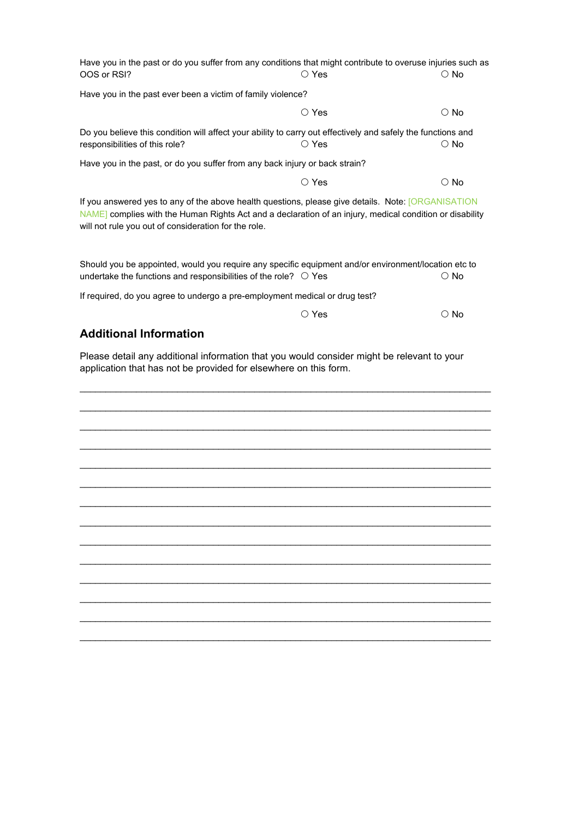| Have you in the past or do you suffer from any conditions that might contribute to overuse injuries such as<br>OOS or RSI?                                                                                                                                             | ○ Yes          | $\circ$ No    |
|------------------------------------------------------------------------------------------------------------------------------------------------------------------------------------------------------------------------------------------------------------------------|----------------|---------------|
| Have you in the past ever been a victim of family violence?                                                                                                                                                                                                            |                |               |
|                                                                                                                                                                                                                                                                        | $\circ$ Yes    | $\bigcirc$ No |
| Do you believe this condition will affect your ability to carry out effectively and safely the functions and<br>responsibilities of this role?                                                                                                                         | $\bigcirc$ Yes | $\circ$ No    |
| Have you in the past, or do you suffer from any back injury or back strain?                                                                                                                                                                                            |                |               |
|                                                                                                                                                                                                                                                                        | $\bigcirc$ Yes | $\circ$ No    |
| If you answered yes to any of the above health questions, please give details. Note: [ORGANISATION<br>NAME] complies with the Human Rights Act and a declaration of an injury, medical condition or disability<br>will not rule you out of consideration for the role. |                |               |
| Should you be appointed, would you require any specific equipment and/or environment/location etc to<br>undertake the functions and responsibilities of the role? $\circ$ Yes                                                                                          |                | $\circ$ No    |
| If required, do you agree to undergo a pre-employment medical or drug test?                                                                                                                                                                                            |                |               |
|                                                                                                                                                                                                                                                                        | $\circ$ Yes    | $\circ$ No    |
| <b>Additional Information</b>                                                                                                                                                                                                                                          |                |               |
| Please detail any additional information that you would consider might be relevant to your<br>application that has not be provided for elsewhere on this form.                                                                                                         |                |               |
|                                                                                                                                                                                                                                                                        |                |               |
|                                                                                                                                                                                                                                                                        |                |               |
|                                                                                                                                                                                                                                                                        |                |               |
|                                                                                                                                                                                                                                                                        |                |               |
|                                                                                                                                                                                                                                                                        |                |               |
|                                                                                                                                                                                                                                                                        |                |               |

\_\_\_\_\_\_\_\_\_\_\_\_\_\_\_\_\_\_\_\_\_\_\_\_\_\_\_\_\_\_\_\_\_\_\_\_\_\_\_\_\_\_\_\_\_\_\_\_\_\_\_\_\_\_\_\_\_\_\_\_\_\_\_\_\_\_\_\_\_\_\_\_\_\_\_\_\_\_\_\_

\_\_\_\_\_\_\_\_\_\_\_\_\_\_\_\_\_\_\_\_\_\_\_\_\_\_\_\_\_\_\_\_\_\_\_\_\_\_\_\_\_\_\_\_\_\_\_\_\_\_\_\_\_\_\_\_\_\_\_\_\_\_\_\_\_\_\_\_\_\_\_\_\_\_\_\_\_\_\_\_

 $\_$  ,  $\_$  ,  $\_$  ,  $\_$  ,  $\_$  ,  $\_$  ,  $\_$  ,  $\_$  ,  $\_$  ,  $\_$  ,  $\_$  ,  $\_$  ,  $\_$  ,  $\_$  ,  $\_$  ,  $\_$  ,  $\_$  ,  $\_$  ,  $\_$  ,  $\_$  ,  $\_$  ,  $\_$  ,  $\_$  ,  $\_$  ,  $\_$  ,  $\_$  ,  $\_$  ,  $\_$  ,  $\_$  ,  $\_$  ,  $\_$  ,  $\_$  ,  $\_$  ,  $\_$  ,  $\_$  ,  $\_$  ,  $\_$  , \_\_\_\_\_\_\_\_\_\_\_\_\_\_\_\_\_\_\_\_\_\_\_\_\_\_\_\_\_\_\_\_\_\_\_\_\_\_\_\_\_\_\_\_\_\_\_\_\_\_\_\_\_\_\_\_\_\_\_\_\_\_\_\_\_\_\_\_\_\_\_\_\_\_\_\_\_\_\_\_  $\_$  ,  $\_$  ,  $\_$  ,  $\_$  ,  $\_$  ,  $\_$  ,  $\_$  ,  $\_$  ,  $\_$  ,  $\_$  ,  $\_$  ,  $\_$  ,  $\_$  ,  $\_$  ,  $\_$  ,  $\_$  ,  $\_$  ,  $\_$  ,  $\_$  ,  $\_$  ,  $\_$  ,  $\_$  ,  $\_$  ,  $\_$  ,  $\_$  ,  $\_$  ,  $\_$  ,  $\_$  ,  $\_$  ,  $\_$  ,  $\_$  ,  $\_$  ,  $\_$  ,  $\_$  ,  $\_$  ,  $\_$  ,  $\_$  , \_\_\_\_\_\_\_\_\_\_\_\_\_\_\_\_\_\_\_\_\_\_\_\_\_\_\_\_\_\_\_\_\_\_\_\_\_\_\_\_\_\_\_\_\_\_\_\_\_\_\_\_\_\_\_\_\_\_\_\_\_\_\_\_\_\_\_\_\_\_\_\_\_\_\_\_\_\_\_\_  $\_$  ,  $\_$  ,  $\_$  ,  $\_$  ,  $\_$  ,  $\_$  ,  $\_$  ,  $\_$  ,  $\_$  ,  $\_$  ,  $\_$  ,  $\_$  ,  $\_$  ,  $\_$  ,  $\_$  ,  $\_$  ,  $\_$  ,  $\_$  ,  $\_$  ,  $\_$  ,  $\_$  ,  $\_$  ,  $\_$  ,  $\_$  ,  $\_$  ,  $\_$  ,  $\_$  ,  $\_$  ,  $\_$  ,  $\_$  ,  $\_$  ,  $\_$  ,  $\_$  ,  $\_$  ,  $\_$  ,  $\_$  ,  $\_$  , \_\_\_\_\_\_\_\_\_\_\_\_\_\_\_\_\_\_\_\_\_\_\_\_\_\_\_\_\_\_\_\_\_\_\_\_\_\_\_\_\_\_\_\_\_\_\_\_\_\_\_\_\_\_\_\_\_\_\_\_\_\_\_\_\_\_\_\_\_\_\_\_\_\_\_\_\_\_\_\_